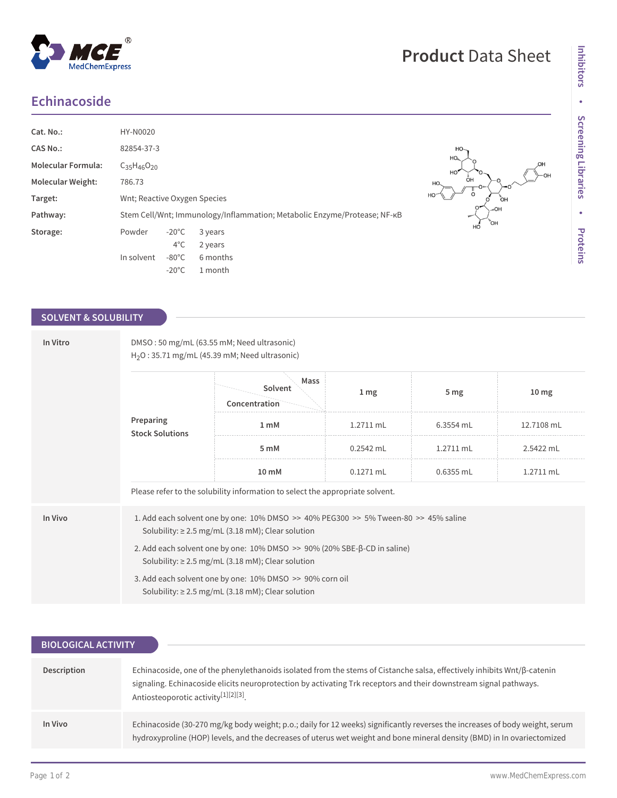## **Echinacoside**

 $^{\circledR}$ 

MedChemExpress

| Cat. No.:                 | HY-N0020                     |                 |          |                                                                          |                                              |
|---------------------------|------------------------------|-----------------|----------|--------------------------------------------------------------------------|----------------------------------------------|
| <b>CAS No.:</b>           | 82854-37-3                   |                 |          |                                                                          | HO-                                          |
| <b>Molecular Formula:</b> | $C_{35}H_{46}O_{20}$         |                 |          |                                                                          | $HO_{\theta_{\text{max}}}$<br>$HO^{\bullet}$ |
| <b>Molecular Weight:</b>  | 786.73                       |                 |          |                                                                          | HO.                                          |
| Target:                   | Wnt; Reactive Oxygen Species |                 |          |                                                                          | H <sub>C</sub>                               |
| Pathway:                  |                              |                 |          | Stem Cell/Wnt; Immunology/Inflammation; Metabolic Enzyme/Protease; NF-KB |                                              |
| Storage:                  | Powder                       | $-20^{\circ}$ C | 3 years  |                                                                          |                                              |
|                           |                              | $4^{\circ}$ C   | 2 years  |                                                                          |                                              |
|                           | In solvent                   | $-80^{\circ}$ C | 6 months |                                                                          |                                              |
|                           |                              | $-20^{\circ}$ C | 1 month  |                                                                          |                                              |

## **SOLVENT & SOLUBILITY**

| In Vitro | DMSO: 50 mg/mL (63.55 mM; Need ultrasonic)<br>$H2O$ : 35.71 mg/mL (45.39 mM; Need ultrasonic)                                                     |                                                                                                                                                              |                 |                 |                  |  |  |
|----------|---------------------------------------------------------------------------------------------------------------------------------------------------|--------------------------------------------------------------------------------------------------------------------------------------------------------------|-----------------|-----------------|------------------|--|--|
|          | Preparing<br><b>Stock Solutions</b>                                                                                                               | Mass<br>Solvent<br>Concentration                                                                                                                             | 1 <sub>mg</sub> | 5 <sub>mg</sub> | 10 <sub>mg</sub> |  |  |
|          |                                                                                                                                                   | 1 <sub>m</sub> M                                                                                                                                             | 1.2711 mL       | 6.3554 mL       | 12.7108 mL       |  |  |
|          |                                                                                                                                                   | 5 mM                                                                                                                                                         | $0.2542$ mL     | $1.2711$ mL     | 2.5422 mL        |  |  |
|          |                                                                                                                                                   | $10 \text{ mM}$                                                                                                                                              | $0.1271$ mL     | $0.6355$ mL     | 1.2711 mL        |  |  |
|          |                                                                                                                                                   | Please refer to the solubility information to select the appropriate solvent.                                                                                |                 |                 |                  |  |  |
| In Vivo  |                                                                                                                                                   | 1. Add each solvent one by one: $10\%$ DMSO $\geq$ 40% PEG300 $\geq$ 5% Tween-80 $\geq$ 45% saline<br>Solubility: $\geq$ 2.5 mg/mL (3.18 mM); Clear solution |                 |                 |                  |  |  |
|          | 2. Add each solvent one by one: $10\%$ DMSO $\geq$ 90% (20% SBE- $\beta$ -CD in saline)<br>Solubility: $\geq$ 2.5 mg/mL (3.18 mM); Clear solution |                                                                                                                                                              |                 |                 |                  |  |  |
|          |                                                                                                                                                   | 3. Add each solvent one by one: 10% DMSO >> 90% corn oil<br>Solubility: $\geq$ 2.5 mg/mL (3.18 mM); Clear solution                                           |                 |                 |                  |  |  |

| <b>BIOLOGICAL ACTIVITY</b> |                                                                                                                                                                                                                                                                                                  |  |  |  |
|----------------------------|--------------------------------------------------------------------------------------------------------------------------------------------------------------------------------------------------------------------------------------------------------------------------------------------------|--|--|--|
|                            |                                                                                                                                                                                                                                                                                                  |  |  |  |
| Description                | Echinacoside, one of the phenylethanoids isolated from the stems of Cistanche salsa, effectively inhibits Wnt/ß-catenin<br>signaling. Echinacoside elicits neuroprotection by activating Trk receptors and their downstream signal pathways.<br>Antiosteoporotic activity <sup>[1][2][3]</sup> . |  |  |  |
| In Vivo                    | Echinacoside (30-270 mg/kg body weight; p.o.; daily for 12 weeks) significantly reverses the increases of body weight, serum<br>hydroxyproline (HOP) levels, and the decreases of uterus wet weight and bone mineral density (BMD) in In ovariectomized                                          |  |  |  |
|                            |                                                                                                                                                                                                                                                                                                  |  |  |  |

Ю,  $-OH$ 

 $\overline{O}$ H